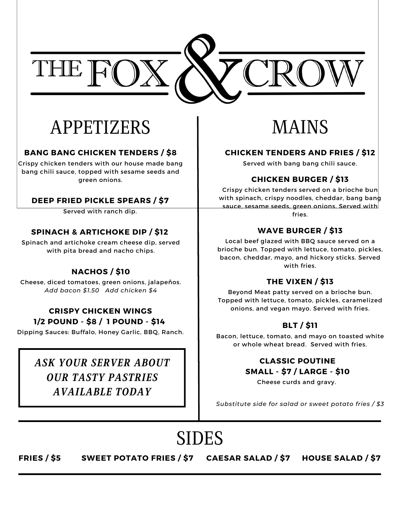

## APPETIZERS

#### **BANG BANG CHICKEN TENDERS / \$8**

Crispy chicken tenders with our house made bang bang chili sauce, topped with sesame seeds and green onions.

#### **DEEP FRIED PICKLE SPEARS / \$7**

Served with ranch dip.

#### **SPINACH & ARTICHOKE DIP / \$12**

Spinach and artichoke cream cheese dip, served with pita bread and nacho chips.

#### **NACHOS / \$10**

Cheese, diced tomatoes, green onions, jalapeños. *Add bacon \$1.50 Add chicken \$4*

#### **CRISPY CHICKEN WINGS 1/2 POUND - \$8 / 1 POUND - \$14**

Dipping Sauces: Buffalo, Honey Garlic, BBQ, Ranch.

### *ASK YOUR SERVER ABOUT OUR TASTY PASTRIES AVAILABLE TODAY*

## MAINS

#### **CHICKEN TENDERS AND FRIES / \$12**

Served with bang bang chili sauce.

#### **CHICKEN BURGER / \$13**

Crispy chicken tenders served on a brioche bun with spinach, crispy noodles, cheddar, bang bang sauce, sesame seeds, green onions. Served with fries.

#### **WAVE BURGER / \$13**

Local beef glazed with BBQ sauce served on a brioche bun. Topped with lettuce, tomato, pickles, bacon, cheddar, mayo, and hickory sticks. Served with fries.

#### **THE VIXEN / \$13**

Beyond Meat patty served on a brioche bun. Topped with lettuce, tomato, pickles, caramelized onions, and vegan mayo. Served with fries.

#### **BLT / \$11**

Bacon, lettuce, tomato, and mayo on toasted white or whole wheat bread. Served with fries.

#### **CLASSIC POUTINE SMALL - \$7 / LARGE - \$10**

Cheese curds and gravy.

*Substitute side for salad or sweet potato fries / \$3*

# SIDES

#### **FRIES / \$5 SWEET POTATO FRIES / \$7 CAESAR SALAD / \$7 HOUSE SALAD / \$7**